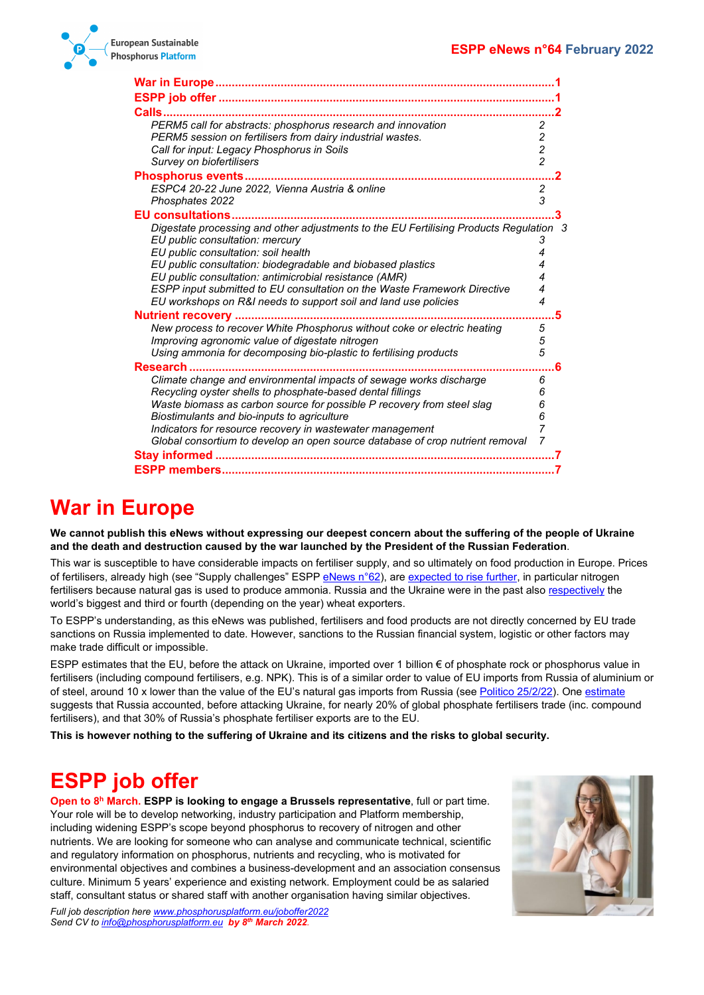

| War in Europe……………………………………………………………………                                                                                          |                         |
|----------------------------------------------------------------------------------------------------------------------------------|-------------------------|
|                                                                                                                                  |                         |
| <b>Calls</b>                                                                                                                     |                         |
| PERM5 call for abstracts: phosphorus research and innovation                                                                     | 2                       |
| PERM5 session on fertilisers from dairy industrial wastes.                                                                       | 2                       |
| Call for input: Legacy Phosphorus in Soils                                                                                       | $\overline{\mathbf{c}}$ |
| Survey on biofertilisers                                                                                                         | $\overline{c}$          |
|                                                                                                                                  |                         |
| ESPC4 20-22 June 2022, Vienna Austria & online                                                                                   | 2                       |
| Phosphates 2022                                                                                                                  | 3                       |
| <b>EU consultations.</b>                                                                                                         |                         |
| Digestate processing and other adjustments to the EU Fertilising Products Regulation 3                                           |                         |
| EU public consultation: mercury                                                                                                  | 3                       |
| EU public consultation: soil health                                                                                              | 4                       |
| EU public consultation: biodegradable and biobased plastics                                                                      | 4                       |
| EU public consultation: antimicrobial resistance (AMR)                                                                           | 4                       |
| ESPP input submitted to EU consultation on the Waste Framework Directive                                                         | 4                       |
| EU workshops on R&I needs to support soil and land use policies                                                                  | 4                       |
| <b>Nutrient recovery </b>                                                                                                        | 5                       |
| New process to recover White Phosphorus without coke or electric heating                                                         | 5                       |
| Improving agronomic value of digestate nitrogen                                                                                  | 5<br>5                  |
| Using ammonia for decomposing bio-plastic to fertilising products                                                                |                         |
| Research                                                                                                                         | 6                       |
| Climate change and environmental impacts of sewage works discharge<br>Recycling oyster shells to phosphate-based dental fillings | 6<br>6                  |
| Waste biomass as carbon source for possible P recovery from steel slag                                                           | 6                       |
| Biostimulants and bio-inputs to agriculture                                                                                      | 6                       |
| Indicators for resource recovery in wastewater management                                                                        | 7                       |
| Global consortium to develop an open source database of crop nutrient removal                                                    | 7                       |
|                                                                                                                                  |                         |
|                                                                                                                                  |                         |
|                                                                                                                                  |                         |

# <span id="page-0-0"></span>**War in Europe**

**We cannot publish this eNews without expressing our deepest concern about the suffering of the people of Ukraine and the death and destruction caused by the war launched by the President of the Russian Federation**.

This war is susceptible to have considerable impacts on fertiliser supply, and so ultimately on food production in Europe. Prices of fertilisers, already high (see "Supply challenges" ESPP [eNews n°62\)](http://www.phosphorusplatform.eu/eNews062), are [expected to rise further,](https://www.bloomberg.com/news/articles/2022-02-24/nitrogen-fertilizer-prices-spike-after-russian-attack-on-ukraine) in particular nitrogen fertilisers because natural gas is used to produce ammonia. Russia and the Ukraine were in the past also [respectively](https://time.com/6151242/ukraine-food-inflation-cost-of-living/) the world's biggest and third or fourth (depending on the year) wheat exporters.

To ESPP's understanding, as this eNews was published, fertilisers and food products are not directly concerned by EU trade sanctions on Russia implemented to date. However, sanctions to the Russian financial system, logistic or other factors may make trade difficult or impossible.

ESPP estimates that the EU, before the attack on Ukraine, imported over 1 billion € of phosphate rock or phosphorus value in fertilisers (including compound fertilisers, e.g. NPK). This is of a similar order to value of EU imports from Russia of aluminium or of steel, around 10 x lower than the value of the EU's natural gas imports from Russia (se[e Politico 25/2/22\)](https://www.politico.eu/article/europe-eu-oil-gas-trade-russia-budget-military-spending-ukraine-war-crisis/). One [estimate](https://www.agriland.ie/farming-news/how-sanctions-against-russia-affect-fertiliser-price-and-supply/) suggests that Russia accounted, before attacking Ukraine, for nearly 20% of global phosphate fertilisers trade (inc. compound fertilisers), and that 30% of Russia's phosphate fertiliser exports are to the EU.

**This is however nothing to the suffering of Ukraine and its citizens and the risks to global security.**

# <span id="page-0-1"></span>**ESPP job offer**

**Open to 8h March. ESPP is looking to engage a Brussels representative**, full or part time. Your role will be to develop networking, industry participation and Platform membership, including widening ESPP's scope beyond phosphorus to recovery of nitrogen and other nutrients. We are looking for someone who can analyse and communicate technical, scientific and regulatory information on phosphorus, nutrients and recycling, who is motivated for environmental objectives and combines a business-development and an association consensus culture. Minimum 5 years' experience and existing network. Employment could be as salaried staff, consultant status or shared staff with another organisation having similar objectives.



*Full job description her[e www.phosphorusplatform.eu/joboffer2022](http://www.phosphorusplatform.eu/joboffer2022) Send CV t[o info@phosphorusplatform.eu](mailto:info@phosphorusplatform.eu) by 8th March 2022.*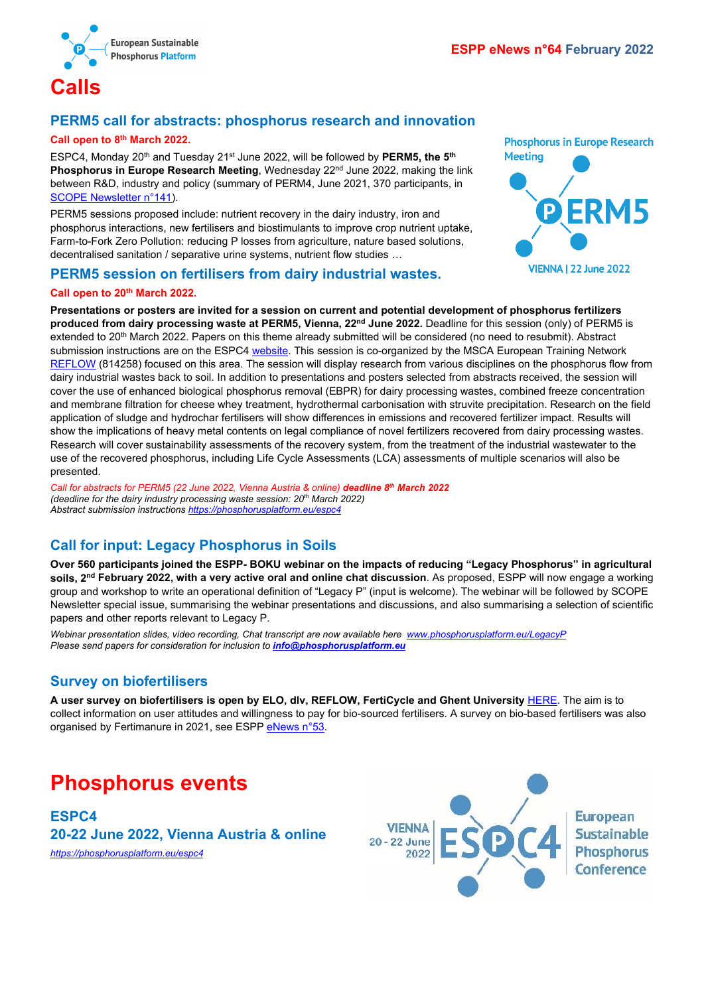

## <span id="page-1-1"></span><span id="page-1-0"></span>**PERM5 call for abstracts: phosphorus research and innovation**

#### **Call open to 8th March 2022.**

ESPC4, Monday 20<sup>th</sup> and Tuesday 21<sup>st</sup> June 2022, will be followed by PERM5, the 5<sup>th</sup> Phosphorus in Europe Research Meeting, Wednesday 22<sup>nd</sup> June 2022, making the link between R&D, industry and policy (summary of PERM4, June 2021, 370 participants, in [SCOPE Newsletter n°141\)](http://www.phosphorusplatform.eu/Scope141).

PERM5 sessions proposed include: nutrient recovery in the dairy industry, iron and phosphorus interactions, new fertilisers and biostimulants to improve crop nutrient uptake, Farm-to-Fork Zero Pollution: reducing P losses from agriculture, nature based solutions, decentralised sanitation / separative urine systems, nutrient flow studies …

#### <span id="page-1-2"></span>**PERM5 session on fertilisers from dairy industrial wastes.**

#### **Call open to 20th March 2022.**

**Phosphorus in Europe Research Meeting** 

**VIENNA | 22 June 2022** 

**Presentations or posters are invited for a session on current and potential development of phosphorus fertilizers produced from dairy processing waste at PERM5, Vienna, 22nd June 2022.** Deadline for this session (only) of PERM5 is extended to 20th March 2022. Papers on this theme already submitted will be considered (no need to resubmit). Abstract submission instructions are on the ESPC4 [website.](https://phosphorusplatform.eu/espc4) This session is co-organized by the MSCA European Training Network [REFLOW](https://etn-reflow.eu/) (814258) focused on this area. The session will display research from various disciplines on the phosphorus flow from dairy industrial wastes back to soil. In addition to presentations and posters selected from abstracts received, the session will cover the use of enhanced biological phosphorus removal (EBPR) for dairy processing wastes, combined freeze concentration and membrane filtration for cheese whey treatment, hydrothermal carbonisation with struvite precipitation. Research on the field application of sludge and hydrochar fertilisers will show differences in emissions and recovered fertilizer impact. Results will show the implications of heavy metal contents on legal compliance of novel fertilizers recovered from dairy processing wastes. Research will cover sustainability assessments of the recovery system, from the treatment of the industrial wastewater to the use of the recovered phosphorus, including Life Cycle Assessments (LCA) assessments of multiple scenarios will also be presented.

*Call for abstracts for PERM5 (22 June 2022, Vienna Austria & online) deadline 8th March 2022 (deadline for the dairy industry processing waste session: 20th March 2022) Abstract submission instructions<https://phosphorusplatform.eu/espc4>*

### <span id="page-1-3"></span>**Call for input: Legacy Phosphorus in Soils**

**Over 560 participants joined the ESPP- BOKU webinar on the impacts of reducing "Legacy Phosphorus" in agricultural soils, 2nd February 2022, with a very active oral and online chat discussion**. As proposed, ESPP will now engage a working group and workshop to write an operational definition of "Legacy P" (input is welcome). The webinar will be followed by SCOPE Newsletter special issue, summarising the webinar presentations and discussions, and also summarising a selection of scientific papers and other reports relevant to Legacy P.

*Webinar presentation slides, video recording, Chat transcript are now available here [www.phosphorusplatform.eu/LegacyP](http://www.phosphorusplatform.eu/LegacyP) Please send papers for consideration for inclusion to [info@phosphorusplatform.eu](mailto:info@phosphorusplatform.eu)*

#### <span id="page-1-4"></span>**Survey on biofertilisers**

**A user survey on biofertilisers is open by ELO, dlv, REFLOW, FertiCycle and Ghent University** [HERE.](https://ghentagriecon.qualtrics.com/jfe/form/SV_0IXoWO00Siuz3kG) The aim is to collect information on user attitudes and willingness to pay for bio-sourced fertilisers. A survey on bio-based fertilisers was also organised by Fertimanure in 2021, see ESP[P eNews n°53.](http://www.phosphorusplatform.eu/eNews053)

## <span id="page-1-5"></span>**Phosphorus events**

<span id="page-1-6"></span>**ESPC4 20-22 June 2022, Vienna Austria & online** *<https://phosphorusplatform.eu/espc4>*

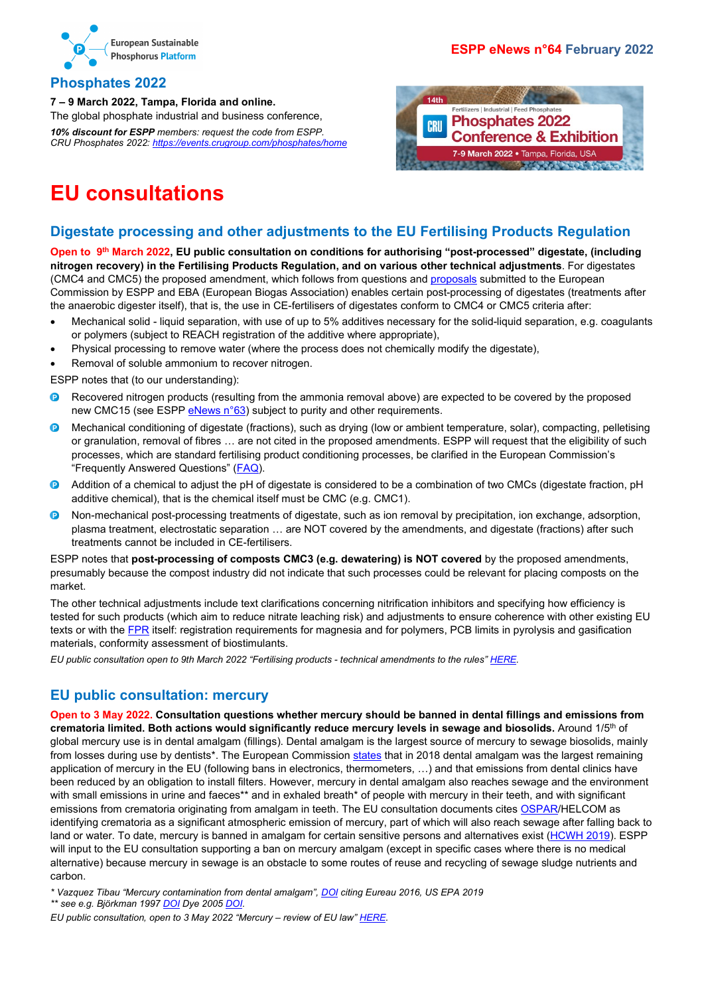

### <span id="page-2-0"></span>**Phosphates 2022**

**7 – 9 March 2022, Tampa, Florida and online.** The global phosphate industrial and business conference, *10% discount for ESPP members: request the code from ESPP. CRU Phosphates 2022: <https://events.crugroup.com/phosphates/home>*





# <span id="page-2-1"></span>**EU consultations**

## <span id="page-2-2"></span>**Digestate processing and other adjustments to the EU Fertilising Products Regulation**

**Open to 9th March 2022, EU public consultation on conditions for authorising "post-processed" digestate, (including nitrogen recovery) in the Fertilising Products Regulation, and on various other technical adjustments**. For digestates (CMC4 and CMC5) the proposed amendment, which follows from questions and [proposals](https://www.phosphorusplatform.eu/images/download/ESPP-EBA%20note%20COM%20FEG%20Nov-2021%204.5%20Post-Processing%20Digestate%20and%20Composts%2015_11_21.pdf) submitted to the European Commission by ESPP and EBA (European Biogas Association) enables certain post-processing of digestates (treatments after the anaerobic digester itself), that is, the use in CE-fertilisers of digestates conform to CMC4 or CMC5 criteria after:

- Mechanical solid liquid separation, with use of up to 5% additives necessary for the solid-liquid separation, e.g. coagulants or polymers (subject to REACH registration of the additive where appropriate),
- Physical processing to remove water (where the process does not chemically modify the digestate),
- Removal of soluble ammonium to recover nitrogen.

ESPP notes that (to our understanding):

- $\bullet$ Recovered nitrogen products (resulting from the ammonia removal above) are expected to be covered by the proposed new CMC15 (see ESPP [eNews n°63\)](http://www.phosphorusplatform.eu/eNews063) subject to purity and other requirements.
- $\bullet$ Mechanical conditioning of digestate (fractions), such as drying (low or ambient temperature, solar), compacting, pelletising or granulation, removal of fibres … are not cited in the proposed amendments. ESPP will request that the eligibility of such processes, which are standard fertilising product conditioning processes, be clarified in the European Commission's "Frequently Answered Questions" [\(FAQ\)](https://ec.europa.eu/docsroom/documents/48214).
- Addition of a chemical to adjust the pH of digestate is considered to be a combination of two CMCs (digestate fraction, pH  $\bullet$ additive chemical), that is the chemical itself must be CMC (e.g. CMC1).
- Non-mechanical post-processing treatments of digestate, such as ion removal by precipitation, ion exchange, adsorption,  $\bullet$ plasma treatment, electrostatic separation … are NOT covered by the amendments, and digestate (fractions) after such treatments cannot be included in CE-fertilisers.

ESPP notes that **post-processing of composts CMC3 (e.g. dewatering) is NOT covered** by the proposed amendments, presumably because the compost industry did not indicate that such processes could be relevant for placing composts on the market.

The other technical adjustments include text clarifications concerning nitrification inhibitors and specifying how efficiency is tested for such products (which aim to reduce nitrate leaching risk) and adjustments to ensure coherence with other existing EU texts or with the [FPR](https://eur-lex.europa.eu/eli/reg/2019/1009) itself: registration requirements for magnesia and for polymers, PCB limits in pyrolysis and gasification materials, conformity assessment of biostimulants.

*EU public consultation open to 9th March 2022 "Fertilising products - technical amendments to the rules[" HERE.](https://ec.europa.eu/info/law/better-regulation/have-your-say/initiatives/13302-Fertilising-products-technical-amendments-to-the-rules_en)*

### <span id="page-2-3"></span>**EU public consultation: mercury**

**Open to 3 May 2022. Consultation questions whether mercury should be banned in dental fillings and emissions from**  crematoria limited. Both actions would significantly reduce mercury levels in sewage and biosolids. Around 1/5<sup>th</sup> of global mercury use is in dental amalgam (fillings). Dental amalgam is the largest source of mercury to sewage biosolids, mainly from losses during use by dentists\*. The European Commissio[n states](https://ec.europa.eu/environment/chemicals/mercury/) that in 2018 dental amalgam was the largest remaining application of mercury in the EU (following bans in electronics, thermometers, …) and that emissions from dental clinics have been reduced by an obligation to install filters. However, mercury in dental amalgam also reaches sewage and the environment with small emissions in urine and faeces\*\* and in exhaled breath\* of people with mercury in their teeth, and with significant emissions from crematoria originating from amalgam in teeth. The EU consultation documents cites [OSPAR/](https://www.ospar.org/documents?v=6971)HELCOM as identifying crematoria as a significant atmospheric emission of mercury, part of which will also reach sewage after falling back to land or water. To date, mercury is banned in amalgam for certain sensitive persons and alternatives exist [\(HCWH 2019\)](https://noharm-europe.org/sites/default/files/documents-files/5740/2018-12_Moving_towards_a_phase-out_of_dental_amalgam_in_Europe_WEB.pdf). ESPP will input to the EU consultation supporting a ban on mercury amalgam (except in specific cases where there is no medical alternative) because mercury in sewage is an obstacle to some routes of reuse and recycling of sewage sludge nutrients and carbon.

*\* Vazquez Tibau "Mercury contamination from dental amalgam"[, DOI](https://doi.org/10.5696/2156-9614-9.22.190612) citing Eureau 2016, US EPA 2019*

*\*\* see e.g. Björkman 199[7 DOI](https://doi.org/10.1006/taap.1997.8128) Dye 200[5 DOI.](https://doi.org/10.1136/oem.2004.016832)*

*EU public consultation, open to 3 May 2022 "Mercury – review of EU law" [HERE.](https://noharm-europe.org/sites/default/files/documents-files/5740/2018-12_Moving_towards_a_phase-out_of_dental_amalgam_in_Europe_WEB.pdfhttps:/ec.europa.eu/info/law/better-regulation/have-your-say/initiatives/12924-Mercury-review-of-EU-law/public-consultation_en)*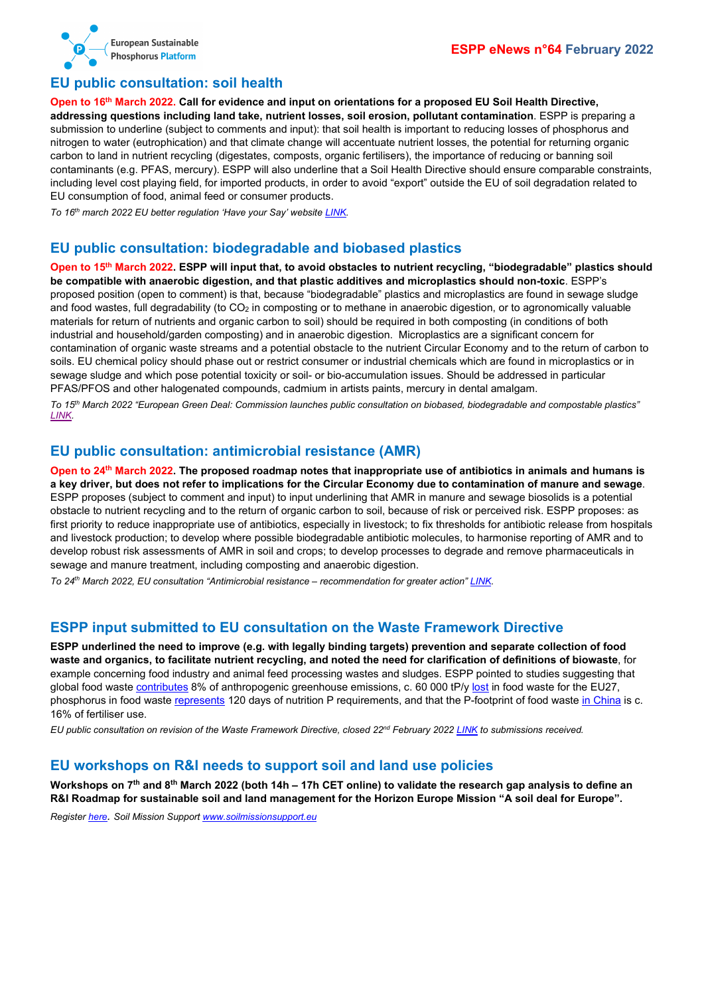

#### <span id="page-3-0"></span>**EU public consultation: soil health**

**Open to 16th March 2022. Call for evidence and input on orientations for a proposed EU Soil Health Directive, addressing questions including land take, nutrient losses, soil erosion, pollutant contamination**. ESPP is preparing a submission to underline (subject to comments and input): that soil health is important to reducing losses of phosphorus and nitrogen to water (eutrophication) and that climate change will accentuate nutrient losses, the potential for returning organic carbon to land in nutrient recycling (digestates, composts, organic fertilisers), the importance of reducing or banning soil contaminants (e.g. PFAS, mercury). ESPP will also underline that a Soil Health Directive should ensure comparable constraints, including level cost playing field, for imported products, in order to avoid "export" outside the EU of soil degradation related to EU consumption of food, animal feed or consumer products.

*To 16th march 2022 EU better regulation 'Have your Say' website [LINK.](https://ec.europa.eu/info/law/better-regulation/have-your-say/initiatives/13350-Soil-health-protecting-sustainably-managing-and-restoring-EU-soils_en)*

#### <span id="page-3-1"></span>**EU public consultation: biodegradable and biobased plastics**

**Open to 15th March 2022. ESPP will input that, to avoid obstacles to nutrient recycling, "biodegradable" plastics should be compatible with anaerobic digestion, and that plastic additives and microplastics should non-toxic**. ESPP's proposed position (open to comment) is that, because "biodegradable" plastics and microplastics are found in sewage sludge and food wastes, full degradability (to  $CO<sub>2</sub>$  in composting or to methane in anaerobic digestion, or to agronomically valuable materials for return of nutrients and organic carbon to soil) should be required in both composting (in conditions of both industrial and household/garden composting) and in anaerobic digestion. Microplastics are a significant concern for contamination of organic waste streams and a potential obstacle to the nutrient Circular Economy and to the return of carbon to soils. EU chemical policy should phase out or restrict consumer or industrial chemicals which are found in microplastics or in sewage sludge and which pose potential toxicity or soil- or bio-accumulation issues. Should be addressed in particular PFAS/PFOS and other halogenated compounds, cadmium in artists paints, mercury in dental amalgam.

*To 15th March 2022 "European Green Deal: Commission launches public consultation on biobased, biodegradable and compostable plastics" [LINK.](https://ec.europa.eu/environment/news/public-consultation-biobased-biodegradable-and-compostable-plastics-2022-01-18_en)*

#### <span id="page-3-2"></span>**EU public consultation: antimicrobial resistance (AMR)**

**Open to 24th March 2022. The proposed roadmap notes that inappropriate use of antibiotics in animals and humans is a key driver, but does not refer to implications for the Circular Economy due to contamination of manure and sewage**. ESPP proposes (subject to comment and input) to input underlining that AMR in manure and sewage biosolids is a potential obstacle to nutrient recycling and to the return of organic carbon to soil, because of risk or perceived risk. ESPP proposes: as first priority to reduce inappropriate use of antibiotics, especially in livestock; to fix thresholds for antibiotic release from hospitals and livestock production; to develop where possible biodegradable antibiotic molecules, to harmonise reporting of AMR and to develop robust risk assessments of AMR in soil and crops; to develop processes to degrade and remove pharmaceuticals in sewage and manure treatment, including composting and anaerobic digestion.

*To 24th March 2022, EU consultation "Antimicrobial resistance – recommendation for greater action[" LINK.](https://ec.europa.eu/info/law/better-regulation/have-your-say/initiatives/13322-Antimicrobial-resistance-recommendation-for-greater-action_en)*

#### <span id="page-3-3"></span>**ESPP input submitted to EU consultation on the Waste Framework Directive**

**ESPP underlined the need to improve (e.g. with legally binding targets) prevention and separate collection of food waste and organics, to facilitate nutrient recycling, and noted the need for clarification of definitions of biowaste**, for example concerning food industry and animal feed processing wastes and sludges. ESPP pointed to studies suggesting that global food waste [contributes](http://www.phosphorusplatform.eu/eNews052) 8% of anthropogenic greenhouse emissions, c. 60 000 tP/y [lost](http://www.phosphorusplatform.eu/eNews047) in food waste for the EU27, phosphorus in food wast[e represents](http://www.phosphorusplatform.eu/eNews036) 120 days of nutrition P requirements, and that the P-footprint of food waste [in China](http://www.phosphorusplatform.eu/eNews040) is c. 16% of fertiliser use.

*EU public consultation on revision of the Waste Framework Directive, closed 22nd February 202[2 LINK](https://ec.europa.eu/info/law/better-regulation/have-your-say/initiatives/13225-Environmental-impact-of-waste-management-revision-of-EU-waste-framework_en) to submissions received.*

#### <span id="page-3-4"></span>**EU workshops on R&I needs to support soil and land use policies**

**Workshops on 7th and 8th March 2022 (both 14h – 17h CET online) to validate the research gap analysis to define an R&I Roadmap for sustainable soil and land management for the Horizon Europe Mission "A soil deal for Europe".**

*Registe[r here.](https://forms.office.com/r/duMTYDyqA6) Soil Mission Suppor[t www.soilmissionsupport.eu](http://www.soilmissionsupport.eu/)*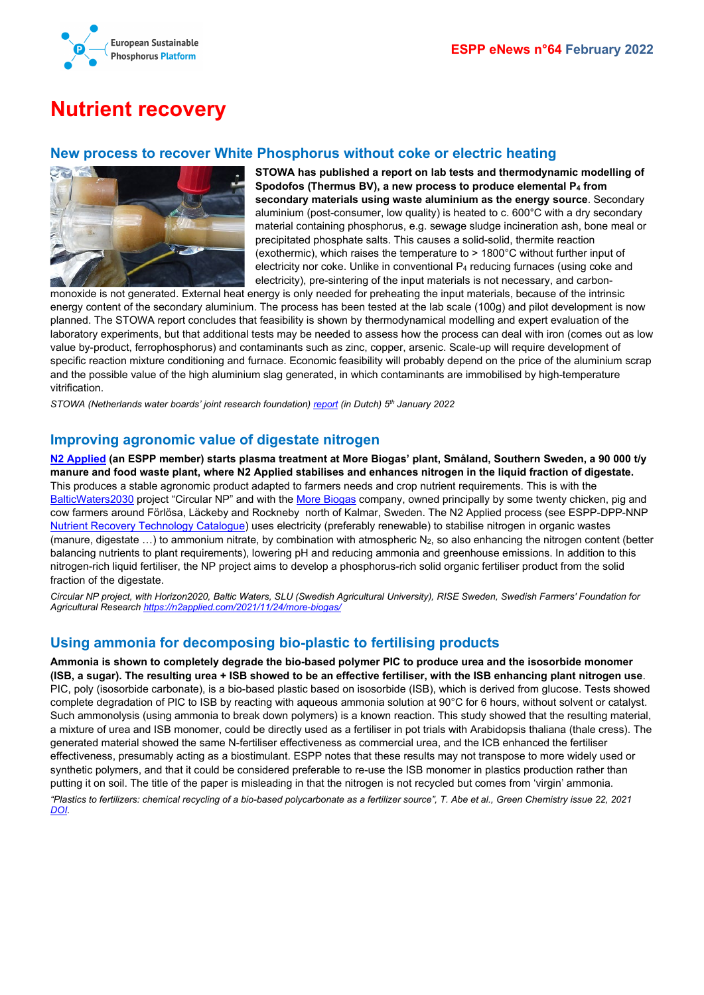

# <span id="page-4-0"></span>**Nutrient recovery**

## <span id="page-4-1"></span>**New process to recover White Phosphorus without coke or electric heating**



**STOWA has published a report on lab tests and thermodynamic modelling of Spodofos (Thermus BV), a new process to produce elemental P4 from secondary materials using waste aluminium as the energy source**. Secondary aluminium (post-consumer, low quality) is heated to c. 600°C with a dry secondary material containing phosphorus, e.g. sewage sludge incineration ash, bone meal or precipitated phosphate salts. This causes a solid-solid, thermite reaction (exothermic), which raises the temperature to > 1800°C without further input of electricity nor coke. Unlike in conventional P4 reducing furnaces (using coke and electricity), pre-sintering of the input materials is not necessary, and carbon-

monoxide is not generated. External heat energy is only needed for preheating the input materials, because of the intrinsic energy content of the secondary aluminium. The process has been tested at the lab scale (100g) and pilot development is now planned. The STOWA report concludes that feasibility is shown by thermodynamical modelling and expert evaluation of the laboratory experiments, but that additional tests may be needed to assess how the process can deal with iron (comes out as low value by-product, ferrophosphorus) and contaminants such as zinc, copper, arsenic. Scale-up will require development of specific reaction mixture conditioning and furnace. Economic feasibility will probably depend on the price of the aluminium scrap and the possible value of the high aluminium slag generated, in which contaminants are immobilised by high-temperature vitrification.

*STOWA (Netherlands water boards' joint research foundation) [report](https://www.stowa.nl/nieuws/veelbelovend-fosfor-terugwinnen-bij-slibverbranding) (in Dutch) 5th January 2022*

## <span id="page-4-2"></span>**Improving agronomic value of digestate nitrogen**

**[N2 Applied](https://n2applied.com/) (an ESPP member) starts plasma treatment at More Biogas' plant, Småland, Southern Sweden, a 90 000 t/y manure and food waste plant, where N2 Applied stabilises and enhances nitrogen in the liquid fraction of digestate.** This produces a stable agronomic product adapted to farmers needs and crop nutrient requirements. This is with the [BalticWaters2030](https://balticwaters2030.org/) project "Circular NP" and with th[e More Biogas](https://morebiogas.se/) company, owned principally by some twenty chicken, pig and cow farmers around Förlösa, Läckeby and Rockneby north of Kalmar, Sweden. The N2 Applied process (see ESPP-DPP-NNP [Nutrient Recovery Technology Catalogue\)](http://www.phosphorusplatform.eu/p-recovery-technology-inventory) uses electricity (preferably renewable) to stabilise nitrogen in organic wastes (manure, digestate  $\ldots$ ) to ammonium nitrate, by combination with atmospheric N<sub>2</sub>, so also enhancing the nitrogen content (better balancing nutrients to plant requirements), lowering pH and reducing ammonia and greenhouse emissions. In addition to this nitrogen-rich liquid fertiliser, the NP project aims to develop a phosphorus-rich solid organic fertiliser product from the solid fraction of the digestate.

*Circular NP project, with Horizon2020, Baltic Waters, SLU (Swedish Agricultural University), RISE Sweden, Swedish Farmers' Foundation for Agricultural Research <https://n2applied.com/2021/11/24/more-biogas/>*

## <span id="page-4-3"></span>**Using ammonia for decomposing bio-plastic to fertilising products**

**Ammonia is shown to completely degrade the bio-based polymer PIC to produce urea and the isosorbide monomer (ISB, a sugar). The resulting urea + ISB showed to be an effective fertiliser, with the ISB enhancing plant nitrogen use**. PIC, poly (isosorbide carbonate), is a bio-based plastic based on isosorbide (ISB), which is derived from glucose. Tests showed complete degradation of PIC to ISB by reacting with aqueous ammonia solution at 90°C for 6 hours, without solvent or catalyst. Such ammonolysis (using ammonia to break down polymers) is a known reaction. This study showed that the resulting material, a mixture of urea and ISB monomer, could be directly used as a fertiliser in pot trials with Arabidopsis thaliana (thale cress). The generated material showed the same N-fertiliser effectiveness as commercial urea, and the ICB enhanced the fertiliser effectiveness, presumably acting as a biostimulant. ESPP notes that these results may not transpose to more widely used or synthetic polymers, and that it could be considered preferable to re-use the ISB monomer in plastics production rather than putting it on soil. The title of the paper is misleading in that the nitrogen is not recycled but comes from 'virgin' ammonia.

*"Plastics to fertilizers: chemical recycling of a bio-based polycarbonate as a fertilizer source", T. Abe et al., Green Chemistry issue 22, 2021 [DOI.](https://doi.org/10.1039/D1GC02327F)*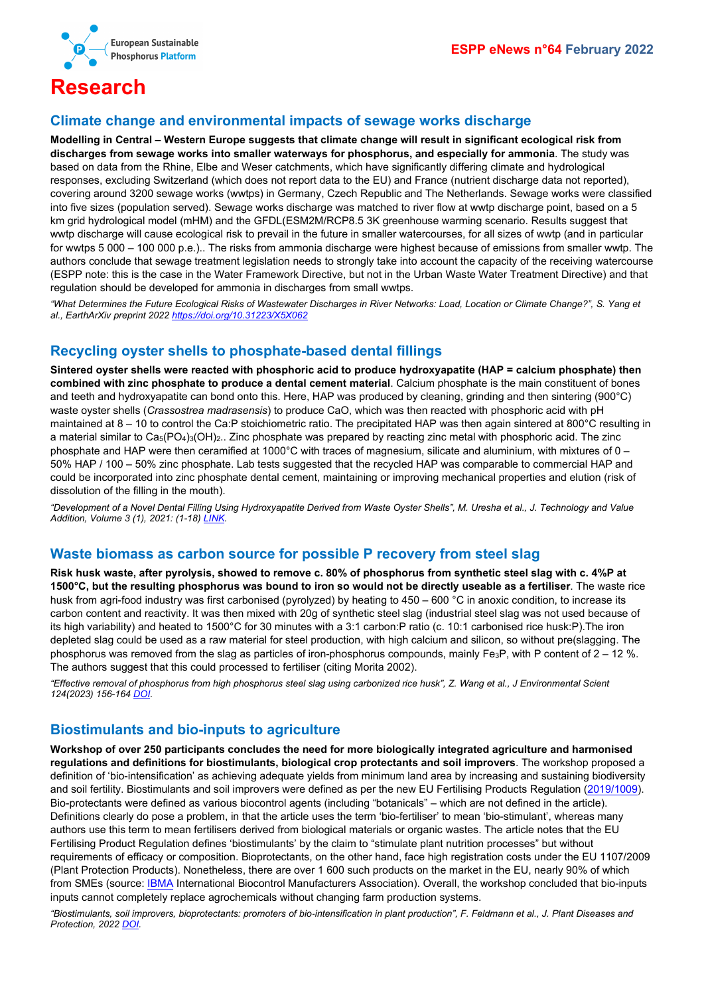

# <span id="page-5-0"></span>**Research**

### <span id="page-5-1"></span>**Climate change and environmental impacts of sewage works discharge**

**Modelling in Central – Western Europe suggests that climate change will result in significant ecological risk from discharges from sewage works into smaller waterways for phosphorus, and especially for ammonia**. The study was based on data from the Rhine, Elbe and Weser catchments, which have significantly differing climate and hydrological responses, excluding Switzerland (which does not report data to the EU) and France (nutrient discharge data not reported), covering around 3200 sewage works (wwtps) in Germany, Czech Republic and The Netherlands. Sewage works were classified into five sizes (population served). Sewage works discharge was matched to river flow at wwtp discharge point, based on a 5 km grid hydrological model (mHM) and the GFDL(ESM2M/RCP8.5 3K greenhouse warming scenario. Results suggest that wwtp discharge will cause ecological risk to prevail in the future in smaller watercourses, for all sizes of wwtp (and in particular for wwtps 5 000 – 100 000 p.e.).. The risks from ammonia discharge were highest because of emissions from smaller wwtp. The authors conclude that sewage treatment legislation needs to strongly take into account the capacity of the receiving watercourse (ESPP note: this is the case in the Water Framework Directive, but not in the Urban Waste Water Treatment Directive) and that regulation should be developed for ammonia in discharges from small wwtps.

*"What Determines the Future Ecological Risks of Wastewater Discharges in River Networks: Load, Location or Climate Change?", S. Yang et al., EarthArXiv preprint 202[2 https://doi.org/10.31223/X5X062](https://doi.org/10.31223/X5X062)*

## <span id="page-5-2"></span>**Recycling oyster shells to phosphate-based dental fillings**

**Sintered oyster shells were reacted with phosphoric acid to produce hydroxyapatite (HAP = calcium phosphate) then combined with zinc phosphate to produce a dental cement material**. Calcium phosphate is the main constituent of bones and teeth and hydroxyapatite can bond onto this. Here, HAP was produced by cleaning, grinding and then sintering (900°C) waste oyster shells (*Crassostrea madrasensis*) to produce CaO, which was then reacted with phosphoric acid with pH maintained at 8 – 10 to control the Ca:P stoichiometric ratio. The precipitated HAP was then again sintered at 800°C resulting in a material similar to Ca<sub>5</sub>(PO<sub>4</sub>)<sub>3</sub>(OH)<sub>2</sub>.. Zinc phosphate was prepared by reacting zinc metal with phosphoric acid. The zinc phosphate and HAP were then ceramified at 1000°C with traces of magnesium, silicate and aluminium, with mixtures of 0 – 50% HAP / 100 – 50% zinc phosphate. Lab tests suggested that the recycled HAP was comparable to commercial HAP and could be incorporated into zinc phosphate dental cement, maintaining or improving mechanical properties and elution (risk of dissolution of the filling in the mouth).

*"Development of a Novel Dental Filling Using Hydroxyapatite Derived from Waste Oyster Shells", M. Uresha et al., J. Technology and Value Addition, Volume 3 (1), 2021: (1-18) [LINK.](http://www.uwu.ac.lk/wp-content/uploads/2021/jtva/JTVA_V3I1_C1.pdf)*

### <span id="page-5-3"></span>**Waste biomass as carbon source for possible P recovery from steel slag**

**Risk husk waste, after pyrolysis, showed to remove c. 80% of phosphorus from synthetic steel slag with c. 4%P at 1500°C, but the resulting phosphorus was bound to iron so would not be directly useable as a fertiliser**. The waste rice husk from agri-food industry was first carbonised (pyrolyzed) by heating to 450 – 600 °C in anoxic condition, to increase its carbon content and reactivity. It was then mixed with 20g of synthetic steel slag (industrial steel slag was not used because of its high variability) and heated to 1500°C for 30 minutes with a 3:1 carbon:P ratio (c. 10:1 carbonised rice husk:P).The iron depleted slag could be used as a raw material for steel production, with high calcium and silicon, so without pre(slagging. The phosphorus was removed from the slag as particles of iron-phosphorus compounds, mainly Fe<sub>3</sub>P, with P content of  $2 - 12$  %. The authors suggest that this could processed to fertiliser (citing Morita 2002).

*"Effective removal of phosphorus from high phosphorus steel slag using carbonized rice husk", Z. Wang et al., J Environmental Scient 124(2023) 156-164 [DOI.](https://doi.org/10.1016/j.jes.2021.10.024)*

### <span id="page-5-4"></span>**Biostimulants and bio-inputs to agriculture**

**Workshop of over 250 participants concludes the need for more biologically integrated agriculture and harmonised regulations and definitions for biostimulants, biological crop protectants and soil improvers**. The workshop proposed a definition of 'bio-intensification' as achieving adequate yields from minimum land area by increasing and sustaining biodiversity and soil fertility. Biostimulants and soil improvers were defined as per the new EU Fertilising Products Regulation [\(2019/1009\)](https://eur-lex.europa.eu/eli/reg/2019/1009). Bio-protectants were defined as various biocontrol agents (including "botanicals" – which are not defined in the article). Definitions clearly do pose a problem, in that the article uses the term 'bio-fertiliser' to mean 'bio-stimulant', whereas many authors use this term to mean fertilisers derived from biological materials or organic wastes. The article notes that the EU Fertilising Product Regulation defines 'biostimulants' by the claim to "stimulate plant nutrition processes" but without requirements of efficacy or composition. Bioprotectants, on the other hand, face high registration costs under the EU 1107/2009 (Plant Protection Products). Nonetheless, there are over 1 600 such products on the market in the EU, nearly 90% of which from SMEs (source: **IBMA International Biocontrol Manufacturers Association**). Overall, the workshop concluded that bio-inputs inputs cannot completely replace agrochemicals without changing farm production systems.

"Biostimulants, soil improvers, bioprotectants: promoters of bio-intensification in plant production", F. Feldmann et al., J. Plant Diseases and *Protection, 2022 [DOI.](https://doi.org/10.1007/s41348-022-00567-x)*